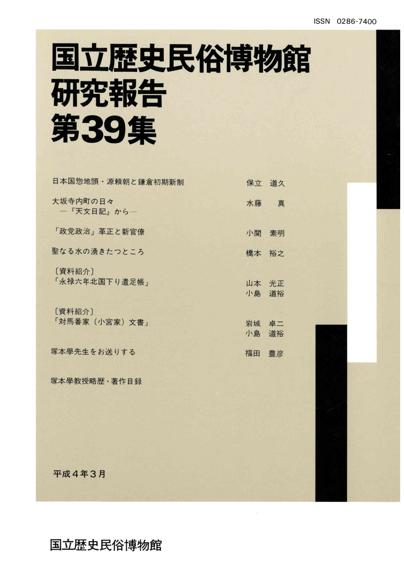## 国立歴史民俗博物館 研究報告 第39集

| 日本国惣地頭・源頼朝と鎌倉初期新制         | 保立          | 道久       |
|---------------------------|-------------|----------|
| 大坂寺内町の日々<br>一『天文日記』から一    | 水藤          | 真        |
| 「政党政治」革正と新官僚              | 小関          | 素明       |
| 聖なる水の湧きたつところ              | 橋本          | 裕之       |
| [資料紹介]<br>「永禄六年北国下り遣足帳」   | 山本<br>小島    | 光正<br>道裕 |
| [資料紹介]<br>「対馬番家 (小宮家) 文書」 | 岩城 卓二<br>小島 | 道裕       |
| 塚本學先生をお送りする               | 福田 豊彦       |          |
| 塚本學教授略歴·著作目録              |             |          |

平成4年3月

国立歴史民俗博物館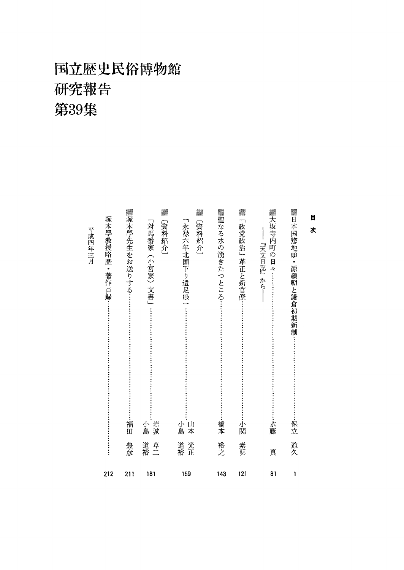## 国立歴史民俗博物館 研究報告 第39集

<u>Villis</u>

mm<br>Milli

| 目<br>次                                       |          |     |
|----------------------------------------------|----------|-----|
| ▓日本国惣地頭・源頼朝と鎌倉初期新制<br>保立                     | 道久       | 1   |
| ▓大坂寺内町の<br>『天文日記』から―<br>日々 ………<br>水藤         | 真        | 81  |
| Villin<br>「政党政治」革正と新官僚<br>小関                 | 素明       | 121 |
| ▓聖なる水の湧きたつところ:<br>橋本                         | 裕之       | 143 |
| MM.<br>「永禄六年北国下り遣足帳」<br>〔資料紹介〕<br>山本<br>小島   | 光正<br>道裕 | 159 |
| Mith,<br>「対馬番家(小宮家)文書」<br>【資料紹介】<br>岩城<br>小島 | 道裕<br>卓二 | 181 |
| ▓塚本學先生をお送りする…<br>福田                          | 豊彦       | 211 |
| 塚本學教授略歴<br>• 著作目録…                           |          | 212 |
| 平成四年三月                                       |          |     |

<u>Mih</u>

<u>VIII).</u>

<u>Milli</u>

Uffin

UM.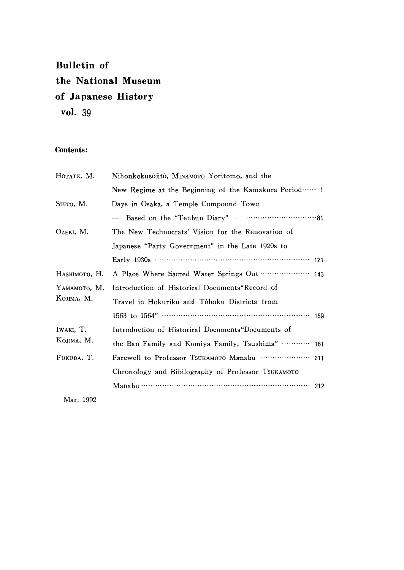### **Bulletin of** the National Museum of Japanese History vol. 39

#### Contents:

| Нотате, М.                 | Nihonkokusôjitô, MINAMOTO Yoritomo, and the          |  |  |  |
|----------------------------|------------------------------------------------------|--|--|--|
|                            | New Regime at the Beginning of the Kamakura Period 1 |  |  |  |
| SUITO, M.                  | Days in Osaka, a Temple Compound Town                |  |  |  |
|                            |                                                      |  |  |  |
| OZEKI, M.                  | The New Technocrats' Vision for the Renovation of    |  |  |  |
|                            | Japanese "Party Government" in the Late 1920s to     |  |  |  |
|                            | Early 1930s ………………………………………………………… 121               |  |  |  |
| Наѕнімото, Н.              | A Place Where Sacred Water Springs Out  143          |  |  |  |
| YAMAMOTO, M.<br>KOJIMA, M. | Introduction of Historical Documents Record of       |  |  |  |
|                            | Travel in Hokuriku and Tôhoku Districts from         |  |  |  |
|                            | 159                                                  |  |  |  |
| IWAKI, T.                  | Introduction of Historical Documents"Documents of    |  |  |  |
| KOJIMA, M.                 | the Ban Family and Komiya Family, Tsushima"  181     |  |  |  |
| FUKUDA, T.                 |                                                      |  |  |  |
|                            | Chronology and Bibilography of Professor TSUKAMOTO   |  |  |  |
|                            |                                                      |  |  |  |
|                            |                                                      |  |  |  |

Mar. 1992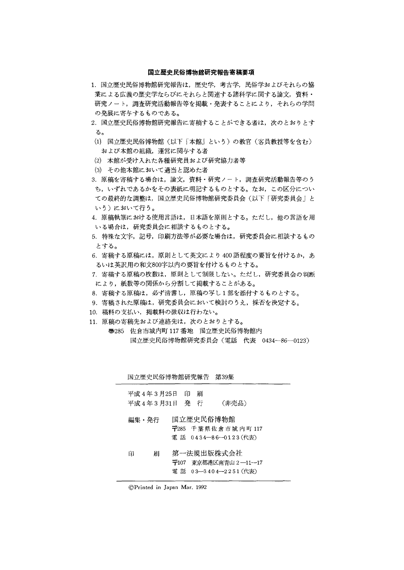#### 国立歴史民俗博物館研究報告寄稿要項

- 1.国立歴史民俗博物館研究報告は,歴史学,考古学,民俗学およびそれらの協 業による広義の歴史学ならびにそれらと関連する諸科学に関する論文,資料・ 研究ノート,調査研究活動報告等を掲載・発表することにより,それらの学問 の発展に寄与するものである。
- 2. 国立歴史民俗博物館研究報告に寄稿することができる者は、次のとおりとす る。
- (1)国立歴史民俗博物館(以下「本館」という)の教官(客員教授等を含む) および本館の組織,運営に関与する者
- (2)本館が受け入れた各種研究員および研究協力者等
- (3)その他本館において適当と認めた者
- 3.原稿を寄稿する場合は,論文,資料・研究ノート,調査研究活動報告等のう ち,いずれであるかをその表紙に明記するものとする。なお,この区分につい ての最終的な調整は,国立歴史民俗博物館研究委員会(以下「研究委員会」と いう)において行う。
- 4. 原稿執筆における使用言語は、日本語を原則とする。ただし、他の言語を用 いる場合は,研究委員会に相談するものとする。
- 5.特殊な文字,記号,印刷方法等が必要な場合は,研究委員会に相談するもの とする。
- 6. 寄稿する原稿には、原則として英文により400語程度の要旨を付けるか、あ るいは英訳用の和文800字以内の要旨を付けるものとする。
- 7、寄稿する原稿の枚数は,原則として制限しない。ただし,研究委員会の判断 により,紙数等の関係から分割して掲載することがある。
- 8.寄稿する原稿は,必ず清書し,原稿の写し1部を添付するものとする。
- 9. 寄稿された原稿は、研究委員会において検討のうえ、採否を決定する。
- 10. 稿料の支払い,掲載料の徴収は行わない。
- 11.原稿の寄稿先および連絡先は,次のとおりとする。
	- 壱285佐倉市城内町117番地 国立歴史民俗博物館内 国立歴史民俗博物館研究委員会(電話 代表 0434-86-0123)

|               | 国立歴史民俗博物館研究報告 第39集      |                                                              |  |
|---------------|-------------------------|--------------------------------------------------------------|--|
| 平成 4 年 3 月25日 | 印<br>刷<br>平成4年3月31日 発 行 | (非売品)                                                        |  |
| 編集・発行         | 国立歴史民俗博物館               | 〒285 千葉県佐倉市城内町117<br>電 話 0434-86-0123(代表)                    |  |
| 届<br>印        |                         | 第一法規出版株式会社<br>〒107 東京都港区南青山 2 ―11-―17<br>電話 03-3404-2251(代表) |  |

◎Printed in Japan Mar.1992